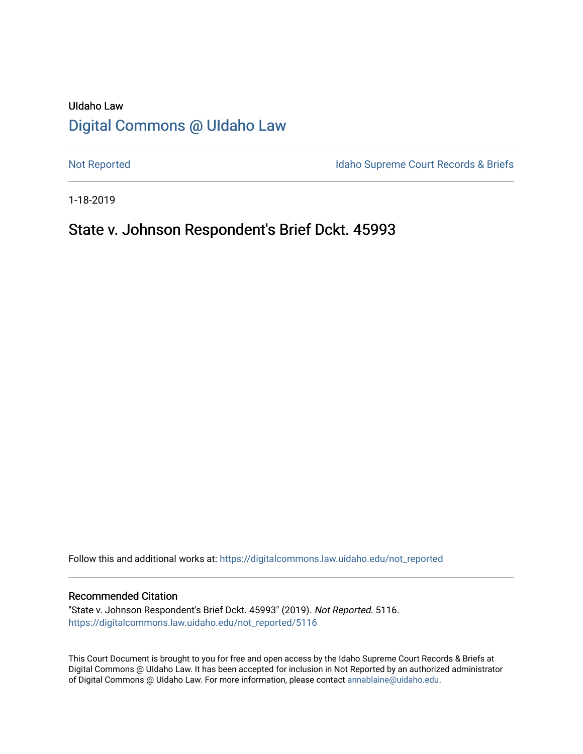# UIdaho Law [Digital Commons @ UIdaho Law](https://digitalcommons.law.uidaho.edu/)

[Not Reported](https://digitalcommons.law.uidaho.edu/not_reported) **Idaho Supreme Court Records & Briefs** 

1-18-2019

# State v. Johnson Respondent's Brief Dckt. 45993

Follow this and additional works at: [https://digitalcommons.law.uidaho.edu/not\\_reported](https://digitalcommons.law.uidaho.edu/not_reported?utm_source=digitalcommons.law.uidaho.edu%2Fnot_reported%2F5116&utm_medium=PDF&utm_campaign=PDFCoverPages) 

#### Recommended Citation

"State v. Johnson Respondent's Brief Dckt. 45993" (2019). Not Reported. 5116. [https://digitalcommons.law.uidaho.edu/not\\_reported/5116](https://digitalcommons.law.uidaho.edu/not_reported/5116?utm_source=digitalcommons.law.uidaho.edu%2Fnot_reported%2F5116&utm_medium=PDF&utm_campaign=PDFCoverPages)

This Court Document is brought to you for free and open access by the Idaho Supreme Court Records & Briefs at Digital Commons @ UIdaho Law. It has been accepted for inclusion in Not Reported by an authorized administrator of Digital Commons @ UIdaho Law. For more information, please contact [annablaine@uidaho.edu](mailto:annablaine@uidaho.edu).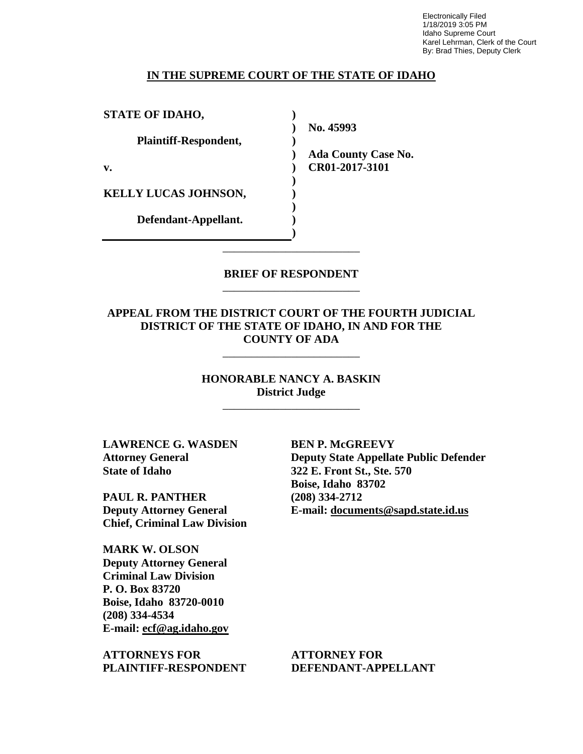Electronically Filed 1/18/2019 3:05 PM Idaho Supreme Court Karel Lehrman, Clerk of the Court By: Brad Thies, Deputy Clerk

#### **IN THE SUPREME COURT OF THE STATE OF IDAHO**

| <b>STATE OF IDAHO,</b>      |                            |
|-----------------------------|----------------------------|
|                             | No. 45993                  |
| Plaintiff-Respondent,       |                            |
|                             | <b>Ada County Case No.</b> |
| v.                          | CR01-2017-3101             |
|                             |                            |
| <b>KELLY LUCAS JOHNSON,</b> |                            |
|                             |                            |
| Defendant-Appellant.        |                            |
|                             |                            |

### **BRIEF OF RESPONDENT** \_\_\_\_\_\_\_\_\_\_\_\_\_\_\_\_\_\_\_\_\_\_\_\_

\_\_\_\_\_\_\_\_\_\_\_\_\_\_\_\_\_\_\_\_\_\_\_\_

## **APPEAL FROM THE DISTRICT COURT OF THE FOURTH JUDICIAL DISTRICT OF THE STATE OF IDAHO, IN AND FOR THE COUNTY OF ADA**

\_\_\_\_\_\_\_\_\_\_\_\_\_\_\_\_\_\_\_\_\_\_\_\_

**HONORABLE NANCY A. BASKIN District Judge**

\_\_\_\_\_\_\_\_\_\_\_\_\_\_\_\_\_\_\_\_\_\_\_\_

**LAWRENCE G. WASDEN Attorney General State of Idaho**

**PAUL R. PANTHER Deputy Attorney General Chief, Criminal Law Division**

**MARK W. OLSON Deputy Attorney General Criminal Law Division P. O. Box 83720 Boise, Idaho 83720-0010 (208) 334-4534 E-mail: ecf@ag.idaho.gov** 

**ATTORNEYS FOR PLAINTIFF-RESPONDENT** **BEN P. McGREEVY Deputy State Appellate Public Defender 322 E. Front St., Ste. 570 Boise, Idaho 83702 (208) 334-2712 E-mail: documents@sapd.state.id.us** 

**ATTORNEY FOR DEFENDANT-APPELLANT**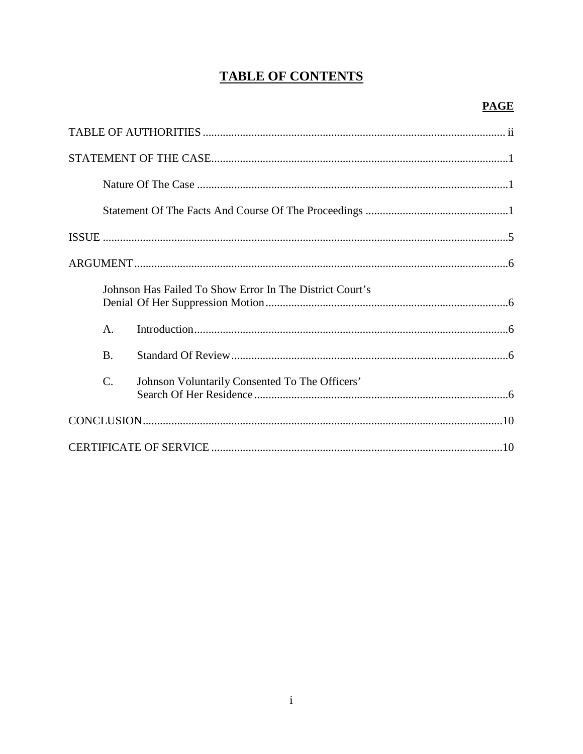# **TABLE OF CONTENTS**

| Johnson Has Failed To Show Error In The District Court's          |  |
|-------------------------------------------------------------------|--|
| $\mathsf{A}$ .                                                    |  |
| <b>B.</b>                                                         |  |
| $\mathcal{C}$ .<br>Johnson Voluntarily Consented To The Officers' |  |
|                                                                   |  |
|                                                                   |  |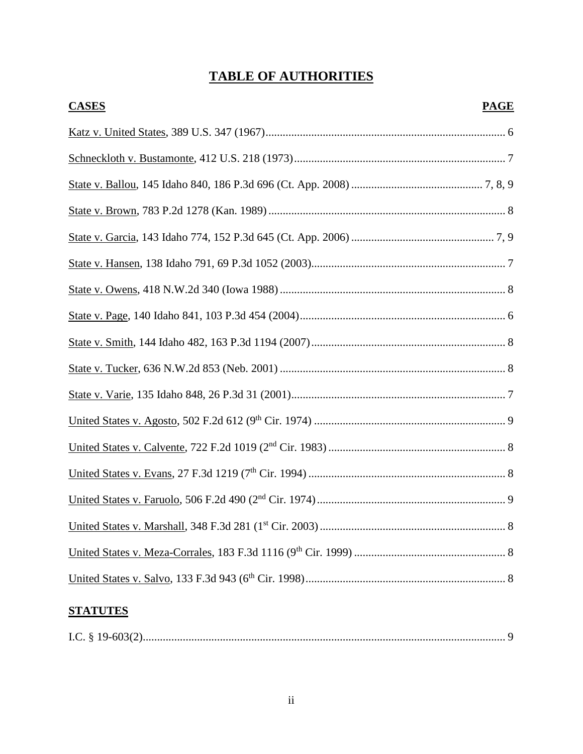# **TABLE OF AUTHORITIES**

| <b>CASES</b><br><b>PAGE</b> |  |
|-----------------------------|--|
|                             |  |
|                             |  |
|                             |  |
|                             |  |
|                             |  |
|                             |  |
|                             |  |
|                             |  |
|                             |  |
|                             |  |
|                             |  |
|                             |  |
|                             |  |
|                             |  |
|                             |  |
|                             |  |
|                             |  |
|                             |  |

# **STATUTES**

|--|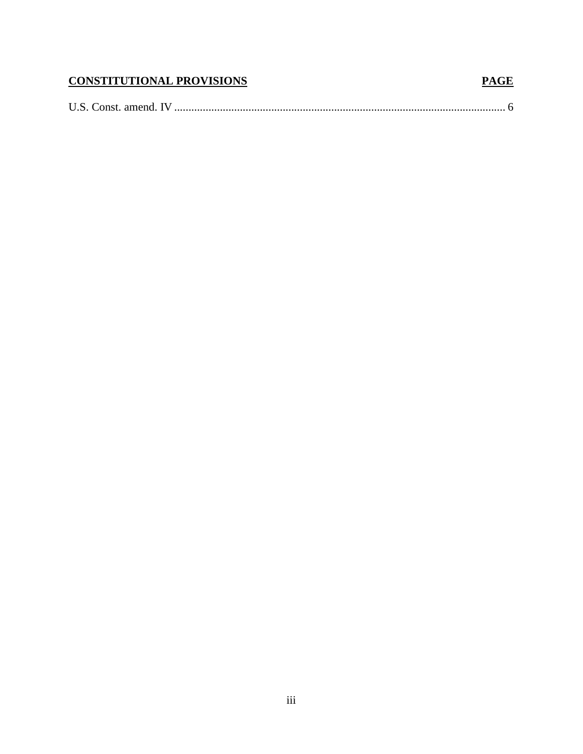# **CONSTITUTIONAL PROVISIONS**

## 

**PAGE**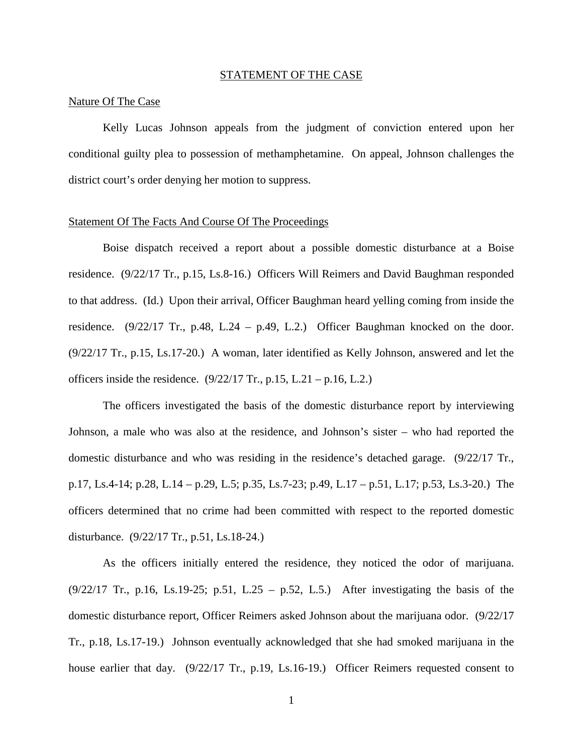#### STATEMENT OF THE CASE

#### Nature Of The Case

Kelly Lucas Johnson appeals from the judgment of conviction entered upon her conditional guilty plea to possession of methamphetamine. On appeal, Johnson challenges the district court's order denying her motion to suppress.

#### Statement Of The Facts And Course Of The Proceedings

Boise dispatch received a report about a possible domestic disturbance at a Boise residence. (9/22/17 Tr., p.15, Ls.8-16.) Officers Will Reimers and David Baughman responded to that address. (Id.) Upon their arrival, Officer Baughman heard yelling coming from inside the residence.  $(9/22/17$  Tr., p.48, L.24 – p.49, L.2.) Officer Baughman knocked on the door. (9/22/17 Tr., p.15, Ls.17-20.) A woman, later identified as Kelly Johnson, answered and let the officers inside the residence.  $(9/22/17 \text{ Tr.}, p.15, L.21 - p.16, L.2.)$ 

The officers investigated the basis of the domestic disturbance report by interviewing Johnson, a male who was also at the residence, and Johnson's sister – who had reported the domestic disturbance and who was residing in the residence's detached garage. (9/22/17 Tr., p.17, Ls.4-14; p.28, L.14 – p.29, L.5; p.35, Ls.7-23; p.49, L.17 – p.51, L.17; p.53, Ls.3-20.) The officers determined that no crime had been committed with respect to the reported domestic disturbance. (9/22/17 Tr., p.51, Ls.18-24.)

As the officers initially entered the residence, they noticed the odor of marijuana.  $(9/22/17$  Tr., p.16, Ls.19-25; p.51, L.25 – p.52, L.5.) After investigating the basis of the domestic disturbance report, Officer Reimers asked Johnson about the marijuana odor. (9/22/17 Tr., p.18, Ls.17-19.) Johnson eventually acknowledged that she had smoked marijuana in the house earlier that day. (9/22/17 Tr., p.19, Ls.16-19.) Officer Reimers requested consent to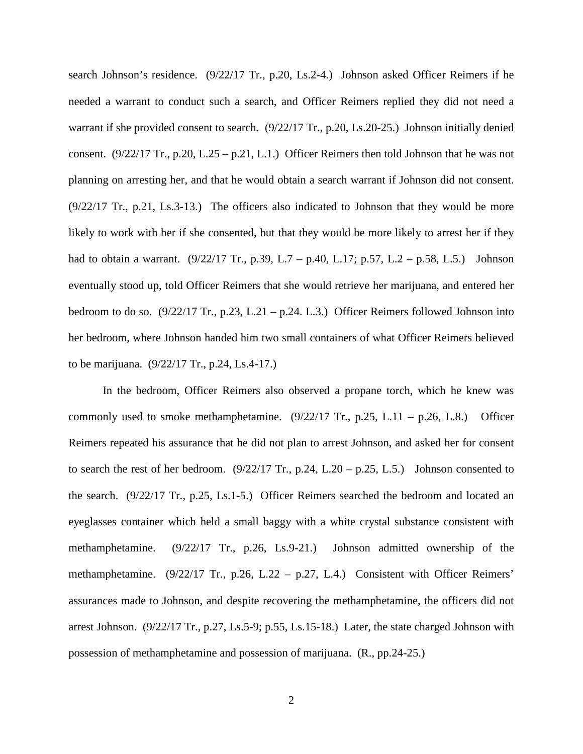search Johnson's residence. (9/22/17 Tr., p.20, Ls.2-4.) Johnson asked Officer Reimers if he needed a warrant to conduct such a search, and Officer Reimers replied they did not need a warrant if she provided consent to search. (9/22/17 Tr., p.20, Ls.20-25.) Johnson initially denied consent.  $(9/22/17 \text{ Tr.}, p.20, L.25 - p.21, L.1.)$  Officer Reimers then told Johnson that he was not planning on arresting her, and that he would obtain a search warrant if Johnson did not consent. (9/22/17 Tr., p.21, Ls.3-13.) The officers also indicated to Johnson that they would be more likely to work with her if she consented, but that they would be more likely to arrest her if they had to obtain a warrant. (9/22/17 Tr., p.39, L.7 – p.40, L.17; p.57, L.2 – p.58, L.5.) Johnson eventually stood up, told Officer Reimers that she would retrieve her marijuana, and entered her bedroom to do so.  $(9/22/17 \text{ Tr.}, p.23, L.21 - p.24, L.3.)$  Officer Reimers followed Johnson into her bedroom, where Johnson handed him two small containers of what Officer Reimers believed to be marijuana. (9/22/17 Tr., p.24, Ls.4-17.)

In the bedroom, Officer Reimers also observed a propane torch, which he knew was commonly used to smoke methamphetamine.  $(9/22/17 \text{ Tr}$ , p.25, L.11 – p.26, L.8.) Officer Reimers repeated his assurance that he did not plan to arrest Johnson, and asked her for consent to search the rest of her bedroom.  $(9/22/17 \text{ Tr.}, p.24, L.20 - p.25, L.5.)$  Johnson consented to the search. (9/22/17 Tr., p.25, Ls.1-5.) Officer Reimers searched the bedroom and located an eyeglasses container which held a small baggy with a white crystal substance consistent with methamphetamine. (9/22/17 Tr., p.26, Ls.9-21.) Johnson admitted ownership of the methamphetamine. (9/22/17 Tr., p.26, L.22 – p.27, L.4.) Consistent with Officer Reimers' assurances made to Johnson, and despite recovering the methamphetamine, the officers did not arrest Johnson. (9/22/17 Tr., p.27, Ls.5-9; p.55, Ls.15-18.) Later, the state charged Johnson with possession of methamphetamine and possession of marijuana. (R., pp.24-25.)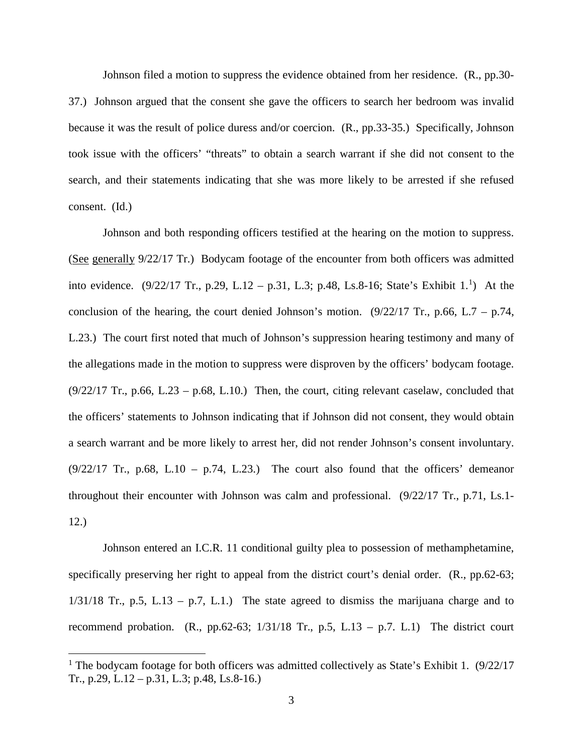Johnson filed a motion to suppress the evidence obtained from her residence. (R., pp.30- 37.) Johnson argued that the consent she gave the officers to search her bedroom was invalid because it was the result of police duress and/or coercion. (R., pp.33-35.) Specifically, Johnson took issue with the officers' "threats" to obtain a search warrant if she did not consent to the search, and their statements indicating that she was more likely to be arrested if she refused consent. (Id.)

Johnson and both responding officers testified at the hearing on the motion to suppress. (See generally 9/22/17 Tr.) Bodycam footage of the encounter from both officers was admitted into evidence.  $(9/22/17 \text{ Tr.}, p.29, L.12 - p.31, L.3; p.48, Ls.8-16; State's Exhibit 1.<sup>1</sup>)$  $(9/22/17 \text{ Tr.}, p.29, L.12 - p.31, L.3; p.48, Ls.8-16; State's Exhibit 1.<sup>1</sup>)$  $(9/22/17 \text{ Tr.}, p.29, L.12 - p.31, L.3; p.48, Ls.8-16; State's Exhibit 1.<sup>1</sup>)$  At the conclusion of the hearing, the court denied Johnson's motion.  $(9/22/17 \text{ Tr.}, p.66, L.7 - p.74,$ L.23.) The court first noted that much of Johnson's suppression hearing testimony and many of the allegations made in the motion to suppress were disproven by the officers' bodycam footage.  $(9/22/17$  Tr., p.66, L.23 – p.68, L.10.) Then, the court, citing relevant caselaw, concluded that the officers' statements to Johnson indicating that if Johnson did not consent, they would obtain a search warrant and be more likely to arrest her, did not render Johnson's consent involuntary.  $(9/22/17$  Tr., p.68, L.10 – p.74, L.23.) The court also found that the officers' demeanor throughout their encounter with Johnson was calm and professional. (9/22/17 Tr., p.71, Ls.1- 12.)

Johnson entered an I.C.R. 11 conditional guilty plea to possession of methamphetamine, specifically preserving her right to appeal from the district court's denial order. (R., pp.62-63;  $1/31/18$  Tr., p.5, L.13 – p.7, L.1.) The state agreed to dismiss the marijuana charge and to recommend probation. (R., pp.62-63;  $1/31/18$  Tr., p.5, L.13 – p.7. L.1) The district court

<span id="page-7-0"></span><sup>&</sup>lt;sup>1</sup> The bodycam footage for both officers was admitted collectively as State's Exhibit 1.  $(9/22/17)$ Tr., p.29, L.12 – p.31, L.3; p.48, Ls.8-16.)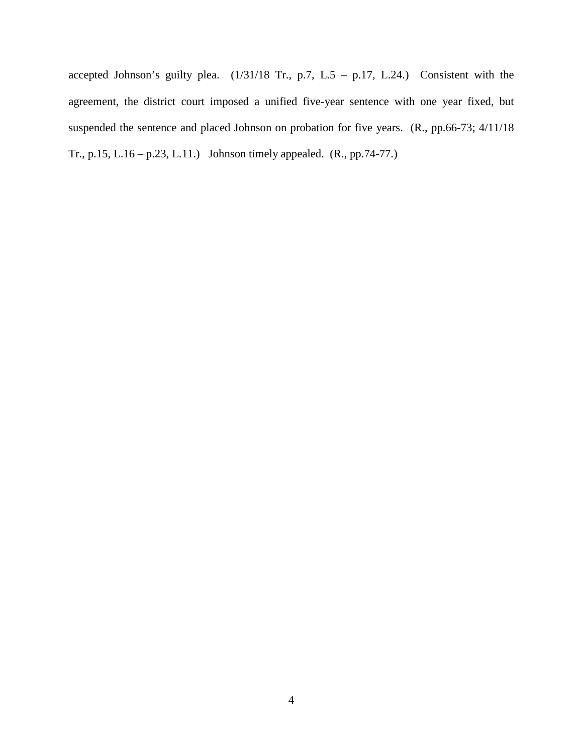accepted Johnson's guilty plea.  $(1/31/18$  Tr., p.7, L.5 – p.17, L.24.) Consistent with the agreement, the district court imposed a unified five-year sentence with one year fixed, but suspended the sentence and placed Johnson on probation for five years. (R., pp.66-73; 4/11/18) Tr., p.15, L.16 – p.23, L.11.) Johnson timely appealed. (R., pp.74-77.)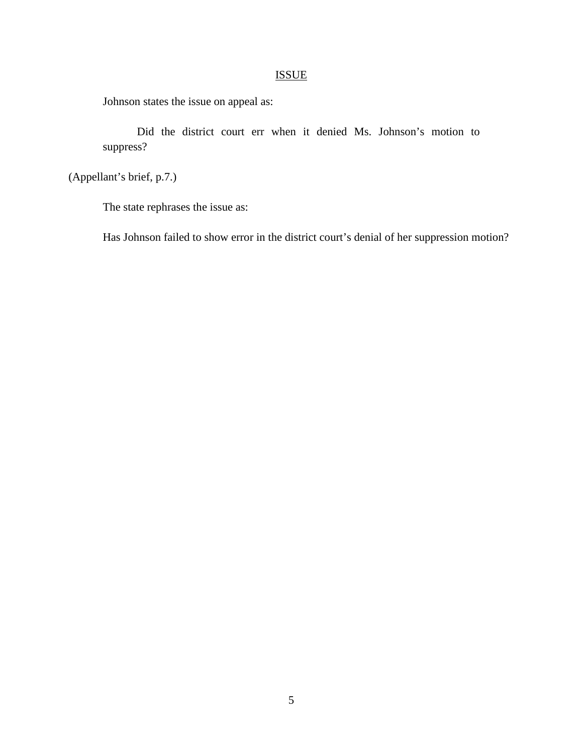## ISSUE

Johnson states the issue on appeal as:

Did the district court err when it denied Ms. Johnson's motion to suppress?

(Appellant's brief, p.7.)

The state rephrases the issue as:

Has Johnson failed to show error in the district court's denial of her suppression motion?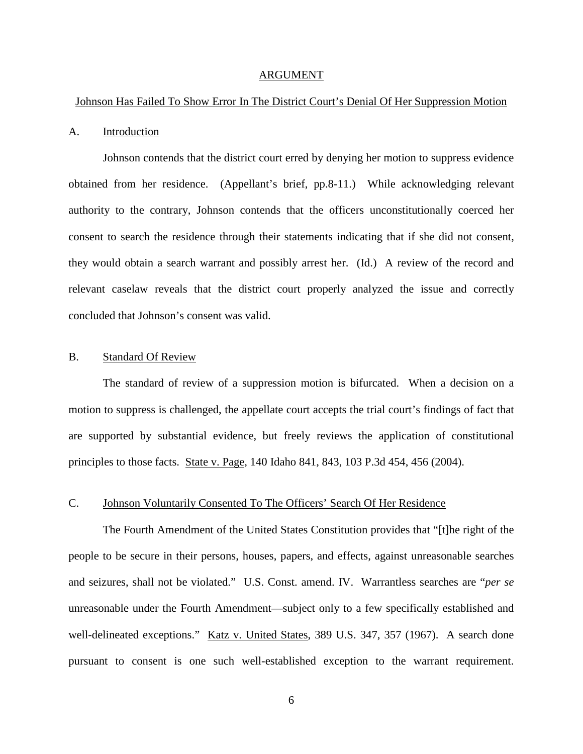#### ARGUMENT

#### Johnson Has Failed To Show Error In The District Court's Denial Of Her Suppression Motion

#### A. Introduction

Johnson contends that the district court erred by denying her motion to suppress evidence obtained from her residence. (Appellant's brief, pp.8-11.) While acknowledging relevant authority to the contrary, Johnson contends that the officers unconstitutionally coerced her consent to search the residence through their statements indicating that if she did not consent, they would obtain a search warrant and possibly arrest her. (Id.) A review of the record and relevant caselaw reveals that the district court properly analyzed the issue and correctly concluded that Johnson's consent was valid.

### B. Standard Of Review

The standard of review of a suppression motion is bifurcated. When a decision on a motion to suppress is challenged, the appellate court accepts the trial court's findings of fact that are supported by substantial evidence, but freely reviews the application of constitutional principles to those facts. State v. Page, 140 Idaho 841, 843, 103 P.3d 454, 456 (2004).

### C. Johnson Voluntarily Consented To The Officers' Search Of Her Residence

The Fourth Amendment of the United States Constitution provides that "[t]he right of the people to be secure in their persons, houses, papers, and effects, against unreasonable searches and seizures, shall not be violated." U.S. Const. amend. IV. Warrantless searches are "*per se* unreasonable under the Fourth Amendment—subject only to a few specifically established and well-delineated exceptions." Katz v. United States, 389 U.S. 347, 357 (1967). A search done pursuant to consent is one such well-established exception to the warrant requirement.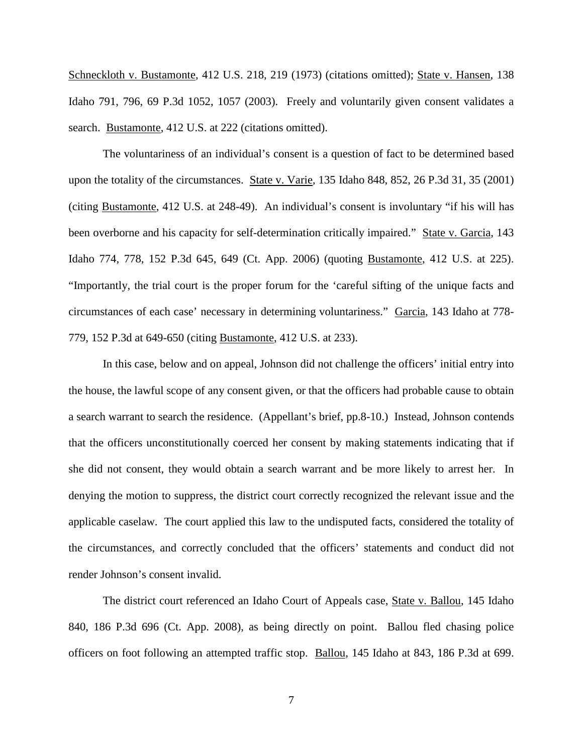Schneckloth v. Bustamonte, 412 U.S. 218, 219 (1973) (citations omitted); State v. Hansen, 138 Idaho 791, 796, 69 P.3d 1052, 1057 (2003). Freely and voluntarily given consent validates a search. Bustamonte, 412 U.S. at 222 (citations omitted).

The voluntariness of an individual's consent is a question of fact to be determined based upon the totality of the circumstances. State v. Varie, 135 Idaho 848, 852, 26 P.3d 31, 35 (2001) (citing Bustamonte, 412 U.S. at 248-49). An individual's consent is involuntary "if his will has been overborne and his capacity for self-determination critically impaired." State v. Garcia, 143 Idaho 774, 778, 152 P.3d 645, 649 (Ct. App. 2006) (quoting Bustamonte, 412 U.S. at 225). "Importantly, the trial court is the proper forum for the 'careful sifting of the unique facts and circumstances of each case' necessary in determining voluntariness." Garcia, 143 Idaho at 778- 779, 152 P.3d at 649-650 (citing Bustamonte, 412 U.S. at 233).

In this case, below and on appeal, Johnson did not challenge the officers' initial entry into the house, the lawful scope of any consent given, or that the officers had probable cause to obtain a search warrant to search the residence. (Appellant's brief, pp.8-10.) Instead, Johnson contends that the officers unconstitutionally coerced her consent by making statements indicating that if she did not consent, they would obtain a search warrant and be more likely to arrest her. In denying the motion to suppress, the district court correctly recognized the relevant issue and the applicable caselaw. The court applied this law to the undisputed facts, considered the totality of the circumstances, and correctly concluded that the officers' statements and conduct did not render Johnson's consent invalid.

The district court referenced an Idaho Court of Appeals case, State v. Ballou, 145 Idaho 840, 186 P.3d 696 (Ct. App. 2008), as being directly on point. Ballou fled chasing police officers on foot following an attempted traffic stop. Ballou, 145 Idaho at 843, 186 P.3d at 699.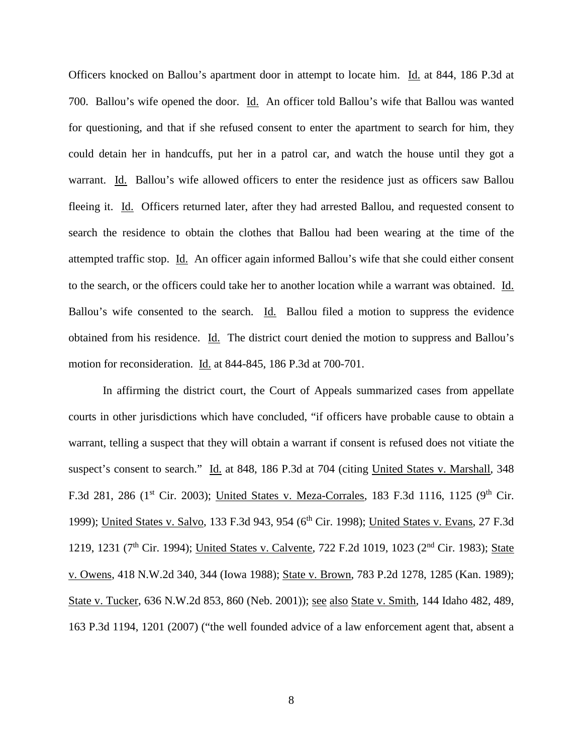Officers knocked on Ballou's apartment door in attempt to locate him. Id. at 844, 186 P.3d at 700. Ballou's wife opened the door. Id. An officer told Ballou's wife that Ballou was wanted for questioning, and that if she refused consent to enter the apartment to search for him, they could detain her in handcuffs, put her in a patrol car, and watch the house until they got a warrant. Id. Ballou's wife allowed officers to enter the residence just as officers saw Ballou fleeing it. Id. Officers returned later, after they had arrested Ballou, and requested consent to search the residence to obtain the clothes that Ballou had been wearing at the time of the attempted traffic stop. Id. An officer again informed Ballou's wife that she could either consent to the search, or the officers could take her to another location while a warrant was obtained. Id. Ballou's wife consented to the search. Id. Ballou filed a motion to suppress the evidence obtained from his residence. Id. The district court denied the motion to suppress and Ballou's motion for reconsideration. Id. at 844-845, 186 P.3d at 700-701.

In affirming the district court, the Court of Appeals summarized cases from appellate courts in other jurisdictions which have concluded, "if officers have probable cause to obtain a warrant, telling a suspect that they will obtain a warrant if consent is refused does not vitiate the suspect's consent to search." Id. at 848, 186 P.3d at 704 (citing United States v. Marshall, 348 F.3d 281, 286 (1<sup>st</sup> Cir. 2003); United States v. Meza-Corrales, 183 F.3d 1116, 1125 (9<sup>th</sup> Cir. 1999); United States v. Salvo, 133 F.3d 943, 954 (6<sup>th</sup> Cir. 1998); United States v. Evans, 27 F.3d 1219, 1231 (7<sup>th</sup> Cir. 1994); United States v. Calvente, 722 F.2d 1019, 1023 (2<sup>nd</sup> Cir. 1983); State v. Owens, 418 N.W.2d 340, 344 (Iowa 1988); State v. Brown, 783 P.2d 1278, 1285 (Kan. 1989); State v. Tucker, 636 N.W.2d 853, 860 (Neb. 2001)); see also State v. Smith, 144 Idaho 482, 489, 163 P.3d 1194, 1201 (2007) ("the well founded advice of a law enforcement agent that, absent a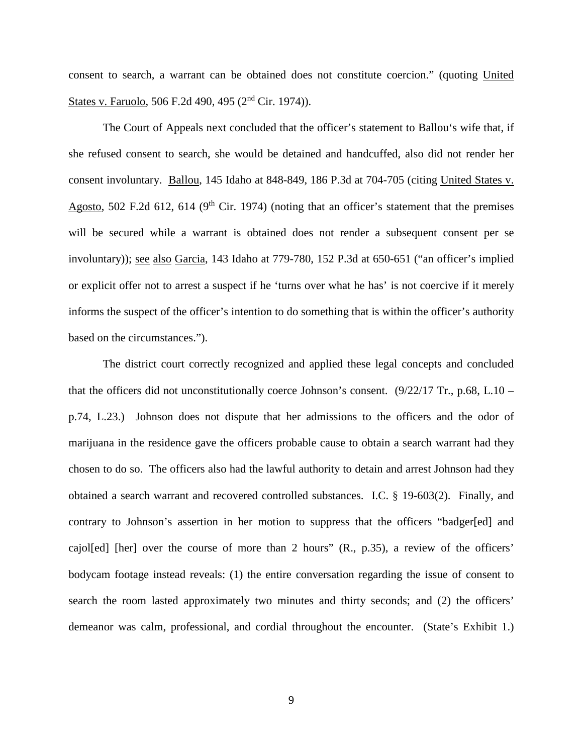consent to search, a warrant can be obtained does not constitute coercion." (quoting United States v. Faruolo, 506 F.2d 490, 495 (2nd Cir. 1974)).

The Court of Appeals next concluded that the officer's statement to Ballou's wife that, if she refused consent to search, she would be detained and handcuffed, also did not render her consent involuntary. Ballou, 145 Idaho at 848-849, 186 P.3d at 704-705 (citing United States v. Agosto, 502 F.2d 612, 614 (9<sup>th</sup> Cir. 1974) (noting that an officer's statement that the premises will be secured while a warrant is obtained does not render a subsequent consent per se involuntary)); see also Garcia, 143 Idaho at 779-780, 152 P.3d at 650-651 ("an officer's implied or explicit offer not to arrest a suspect if he 'turns over what he has' is not coercive if it merely informs the suspect of the officer's intention to do something that is within the officer's authority based on the circumstances.").

The district court correctly recognized and applied these legal concepts and concluded that the officers did not unconstitutionally coerce Johnson's consent.  $(9/22/17 \text{ Tr}$ , p.68, L.10 – p.74, L.23.) Johnson does not dispute that her admissions to the officers and the odor of marijuana in the residence gave the officers probable cause to obtain a search warrant had they chosen to do so. The officers also had the lawful authority to detain and arrest Johnson had they obtained a search warrant and recovered controlled substances. I.C. § 19-603(2). Finally, and contrary to Johnson's assertion in her motion to suppress that the officers "badger[ed] and cajol[ed] [her] over the course of more than 2 hours" (R., p.35), a review of the officers' bodycam footage instead reveals: (1) the entire conversation regarding the issue of consent to search the room lasted approximately two minutes and thirty seconds; and (2) the officers' demeanor was calm, professional, and cordial throughout the encounter. (State's Exhibit 1.)